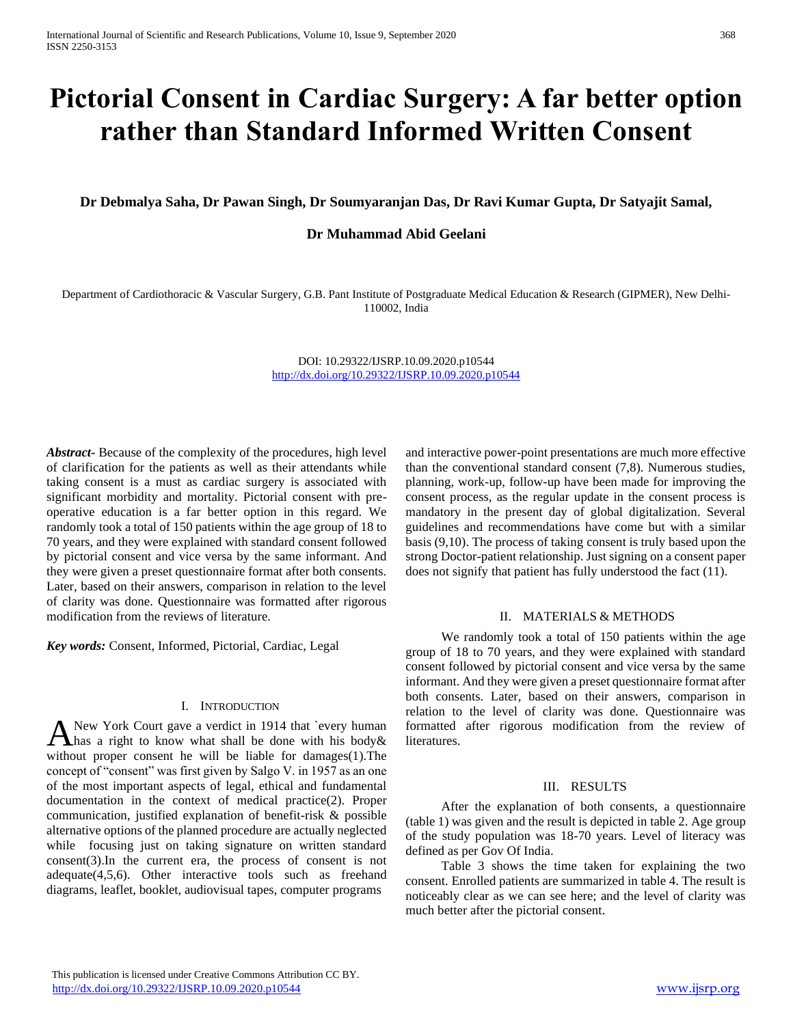# **Pictorial Consent in Cardiac Surgery: A far better option rather than Standard Informed Written Consent**

**Dr Debmalya Saha, Dr Pawan Singh, Dr Soumyaranjan Das, Dr Ravi Kumar Gupta, Dr Satyajit Samal,**

### **Dr Muhammad Abid Geelani**

Department of Cardiothoracic & Vascular Surgery, G.B. Pant Institute of Postgraduate Medical Education & Research (GIPMER), New Delhi-110002, India

> DOI: 10.29322/IJSRP.10.09.2020.p10544 <http://dx.doi.org/10.29322/IJSRP.10.09.2020.p10544>

*Abstract***-** Because of the complexity of the procedures, high level of clarification for the patients as well as their attendants while taking consent is a must as cardiac surgery is associated with significant morbidity and mortality. Pictorial consent with preoperative education is a far better option in this regard. We randomly took a total of 150 patients within the age group of 18 to 70 years, and they were explained with standard consent followed by pictorial consent and vice versa by the same informant. And they were given a preset questionnaire format after both consents. Later, based on their answers, comparison in relation to the level of clarity was done. Questionnaire was formatted after rigorous modification from the reviews of literature.

*Key words:* Consent, Informed, Pictorial, Cardiac, Legal

### I. INTRODUCTION

New York Court gave a verdict in 1914 that `every human A New York Court gave a verdict in 1914 that 'every human<br>Ahas a right to know what shall be done with his body & without proper consent he will be liable for damages(1).The concept of "consent" was first given by Salgo V. in 1957 as an one of the most important aspects of legal, ethical and fundamental documentation in the context of medical practice(2). Proper communication, justified explanation of benefit-risk & possible alternative options of the planned procedure are actually neglected while focusing just on taking signature on written standard consent(3).In the current era, the process of consent is not adequate(4,5,6). Other interactive tools such as freehand diagrams, leaflet, booklet, audiovisual tapes, computer programs

and interactive power-point presentations are much more effective than the conventional standard consent (7,8). Numerous studies, planning, work-up, follow-up have been made for improving the consent process, as the regular update in the consent process is mandatory in the present day of global digitalization. Several guidelines and recommendations have come but with a similar basis (9,10). The process of taking consent is truly based upon the strong Doctor-patient relationship. Just signing on a consent paper does not signify that patient has fully understood the fact (11).

### II. MATERIALS & METHODS

We randomly took a total of 150 patients within the age group of 18 to 70 years, and they were explained with standard consent followed by pictorial consent and vice versa by the same informant. And they were given a preset questionnaire format after both consents. Later, based on their answers, comparison in relation to the level of clarity was done. Questionnaire was formatted after rigorous modification from the review of literatures.

### III. RESULTS

After the explanation of both consents, a questionnaire (table 1) was given and the result is depicted in table 2. Age group of the study population was 18-70 years. Level of literacy was defined as per Gov Of India.

Table 3 shows the time taken for explaining the two consent. Enrolled patients are summarized in table 4. The result is noticeably clear as we can see here; and the level of clarity was much better after the pictorial consent.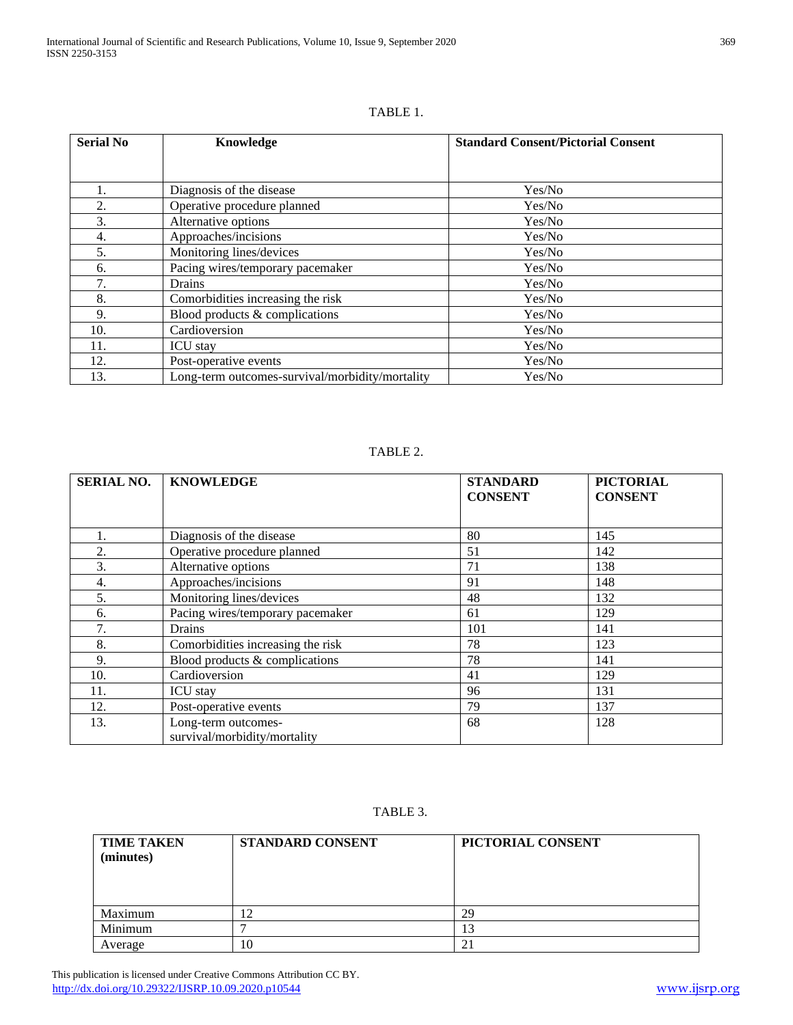| <b>Serial No</b> | Knowledge                                       | <b>Standard Consent/Pictorial Consent</b> |
|------------------|-------------------------------------------------|-------------------------------------------|
|                  |                                                 |                                           |
|                  |                                                 |                                           |
|                  | Diagnosis of the disease                        | Yes/No                                    |
| 2.               | Operative procedure planned                     | Yes/No                                    |
| 3.               | Alternative options                             | Yes/No                                    |
| 4.               | Approaches/incisions                            | Yes/No                                    |
| 5.               | Monitoring lines/devices                        | Yes/No                                    |
| 6.               | Pacing wires/temporary pacemaker                | Yes/No                                    |
| 7.               | Drains                                          | Yes/No                                    |
| 8.               | Comorbidities increasing the risk               | Yes/No                                    |
| 9.               | Blood products $&$ complications                | Yes/No                                    |
| 10.              | Cardioversion                                   | Yes/No                                    |
| 11.              | <b>ICU</b> stay                                 | Yes/No                                    |
| 12.              | Post-operative events                           | Yes/No                                    |
| 13.              | Long-term outcomes-survival/morbidity/mortality | Yes/No                                    |

### TABLE 1.

## TABLE 2.

| <b>SERIAL NO.</b> | <b>KNOWLEDGE</b>                                    | <b>STANDARD</b><br><b>CONSENT</b> | <b>PICTORIAL</b><br><b>CONSENT</b> |
|-------------------|-----------------------------------------------------|-----------------------------------|------------------------------------|
|                   |                                                     |                                   |                                    |
|                   | Diagnosis of the disease                            | 80                                | 145                                |
| 2.                | Operative procedure planned                         | 51                                | 142                                |
| 3.                | Alternative options                                 | 71                                | 138                                |
| 4.                | Approaches/incisions                                | 91                                | 148                                |
| 5.                | Monitoring lines/devices                            | 48                                | 132                                |
| 6.                | Pacing wires/temporary pacemaker                    | 61                                | 129                                |
| 7.                | Drains                                              | 101                               | 141                                |
| 8.                | Comorbidities increasing the risk                   | 78                                | 123                                |
| 9.                | Blood products $&$ complications                    | 78                                | 141                                |
| 10.               | Cardioversion                                       | 41                                | 129                                |
| 11.               | <b>ICU</b> stay                                     | 96                                | 131                                |
| 12.               | Post-operative events                               | 79                                | 137                                |
| 13.               | Long-term outcomes-<br>survival/morbidity/mortality | 68                                | 128                                |

TABLE 3.

| <b>TIME TAKEN</b><br>(minutes) | STANDARD CONSENT | PICTORIAL CONSENT |
|--------------------------------|------------------|-------------------|
| Maximum                        | $\sqrt{2}$       | 29                |
| Minimum                        |                  | 13                |
| Average                        | 10               |                   |

 This publication is licensed under Creative Commons Attribution CC BY. <http://dx.doi.org/10.29322/IJSRP.10.09.2020.p10544> [www.ijsrp.org](http://ijsrp.org/)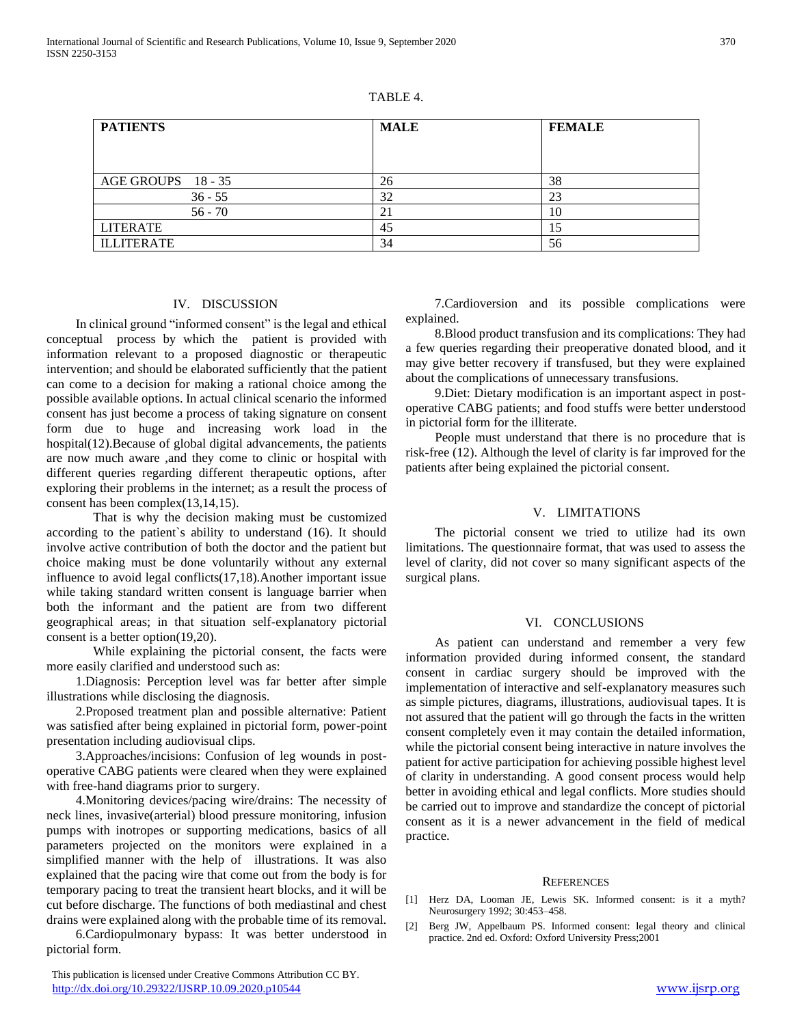| \ RI |  |
|------|--|
|------|--|

| <b>PATIENTS</b>    | <b>MALE</b> | <b>FEMALE</b> |
|--------------------|-------------|---------------|
|                    |             |               |
| AGE GROUPS 18 - 35 | 26          | 38            |
| $36 - 55$          | 32          | 23            |
| $56 - 70$          | 21          | 10            |
| <b>LITERATE</b>    | 45          |               |
| <b>ILLITERATE</b>  | 34          | 56            |

### IV. DISCUSSION

 In clinical ground "informed consent" is the legal and ethical conceptual process by which the patient is provided with information relevant to a proposed diagnostic or therapeutic intervention; and should be elaborated sufficiently that the patient can come to a decision for making a rational choice among the possible available options. In actual clinical scenario the informed consent has just become a process of taking signature on consent form due to huge and increasing work load in the hospital(12).Because of global digital advancements, the patients are now much aware ,and they come to clinic or hospital with different queries regarding different therapeutic options, after exploring their problems in the internet; as a result the process of consent has been complex(13,14,15).

That is why the decision making must be customized according to the patient`s ability to understand (16). It should involve active contribution of both the doctor and the patient but choice making must be done voluntarily without any external influence to avoid legal conflicts(17,18).Another important issue while taking standard written consent is language barrier when both the informant and the patient are from two different geographical areas; in that situation self-explanatory pictorial consent is a better option(19,20).

While explaining the pictorial consent, the facts were more easily clarified and understood such as:

 1.Diagnosis: Perception level was far better after simple illustrations while disclosing the diagnosis.

 2.Proposed treatment plan and possible alternative: Patient was satisfied after being explained in pictorial form, power-point presentation including audiovisual clips.

 3.Approaches/incisions: Confusion of leg wounds in postoperative CABG patients were cleared when they were explained with free-hand diagrams prior to surgery.

 4.Monitoring devices/pacing wire/drains: The necessity of neck lines, invasive(arterial) blood pressure monitoring, infusion pumps with inotropes or supporting medications, basics of all parameters projected on the monitors were explained in a simplified manner with the help of illustrations. It was also explained that the pacing wire that come out from the body is for temporary pacing to treat the transient heart blocks, and it will be cut before discharge. The functions of both mediastinal and chest drains were explained along with the probable time of its removal.

 6.Cardiopulmonary bypass: It was better understood in pictorial form.

 This publication is licensed under Creative Commons Attribution CC BY. <http://dx.doi.org/10.29322/IJSRP.10.09.2020.p10544> [www.ijsrp.org](http://ijsrp.org/)

 7.Cardioversion and its possible complications were explained.

 8.Blood product transfusion and its complications: They had a few queries regarding their preoperative donated blood, and it may give better recovery if transfused, but they were explained about the complications of unnecessary transfusions.

 9.Diet: Dietary modification is an important aspect in postoperative CABG patients; and food stuffs were better understood in pictorial form for the illiterate.

 People must understand that there is no procedure that is risk-free (12). Although the level of clarity is far improved for the patients after being explained the pictorial consent.

### V. LIMITATIONS

 The pictorial consent we tried to utilize had its own limitations. The questionnaire format, that was used to assess the level of clarity, did not cover so many significant aspects of the surgical plans.

### VI. CONCLUSIONS

 As patient can understand and remember a very few information provided during informed consent, the standard consent in cardiac surgery should be improved with the implementation of interactive and self-explanatory measures such as simple pictures, diagrams, illustrations, audiovisual tapes. It is not assured that the patient will go through the facts in the written consent completely even it may contain the detailed information, while the pictorial consent being interactive in nature involves the patient for active participation for achieving possible highest level of clarity in understanding. A good consent process would help better in avoiding ethical and legal conflicts. More studies should be carried out to improve and standardize the concept of pictorial consent as it is a newer advancement in the field of medical practice.

#### **REFERENCES**

- [1] Herz DA, Looman JE, Lewis SK. Informed consent: is it a myth? Neurosurgery 1992; 30:453–458.
- [2] Berg JW, Appelbaum PS. Informed consent: legal theory and clinical practice. 2nd ed. Oxford: Oxford University Press;2001